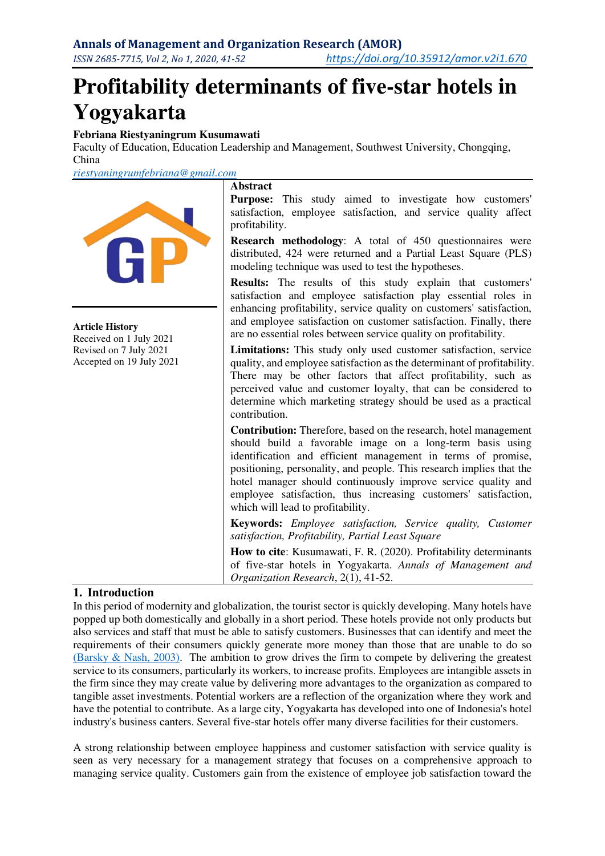# **Profitability determinants of five-star hotels in Yogyakarta**

## **Febriana Riestyaningrum Kusumawati**

Faculty of Education, Education Leadership and Management, Southwest University, Chongqing, China

*[riestyaningrumfebriana@gmail.com](mailto:riestyaningrumfebriana@gmail.com)*



**Article History**  Received on 1 July 2021

Revised on 7 July 2021 Accepted on 19 July 2021

## **Abstract**

**Purpose:** This study aimed to investigate how customers' satisfaction, employee satisfaction, and service quality affect profitability.

**Research methodology**: A total of 450 questionnaires were distributed, 424 were returned and a Partial Least Square (PLS) modeling technique was used to test the hypotheses.

**Results:** The results of this study explain that customers' satisfaction and employee satisfaction play essential roles in enhancing profitability, service quality on customers' satisfaction, and employee satisfaction on customer satisfaction. Finally, there are no essential roles between service quality on profitability.

**Limitations:** This study only used customer satisfaction, service quality, and employee satisfaction as the determinant of profitability. There may be other factors that affect profitability, such as perceived value and customer loyalty, that can be considered to determine which marketing strategy should be used as a practical contribution.

**Contribution:** Therefore, based on the research, hotel management should build a favorable image on a long-term basis using identification and efficient management in terms of promise, positioning, personality, and people. This research implies that the hotel manager should continuously improve service quality and employee satisfaction, thus increasing customers' satisfaction, which will lead to profitability.

**Keywords:** *Employee satisfaction, Service quality, Customer satisfaction, Profitability, Partial Least Square*

**How to cite**: Kusumawati, F. R. (2020). Profitability determinants of five-star hotels in Yogyakarta. *Annals of Management and Organization Research*, 2(1), 41-52.

# **1. Introduction**

In this period of modernity and globalization, the tourist sector is quickly developing. Many hotels have popped up both domestically and globally in a short period. These hotels provide not only products but also services and staff that must be able to satisfy customers. Businesses that can identify and meet the requirements of their consumers quickly generate more money than those that are unable to do so (Barsky  $\&$  Nash, 2003). The ambition to grow drives the firm to compete by delivering the greatest service to its consumers, particularly its workers, to increase profits. Employees are intangible assets in the firm since they may create value by delivering more advantages to the organization as compared to tangible asset investments. Potential workers are a reflection of the organization where they work and have the potential to contribute. As a large city, Yogyakarta has developed into one of Indonesia's hotel industry's business canters. Several five-star hotels offer many diverse facilities for their customers.

A strong relationship between employee happiness and customer satisfaction with service quality is seen as very necessary for a management strategy that focuses on a comprehensive approach to managing service quality. Customers gain from the existence of employee job satisfaction toward the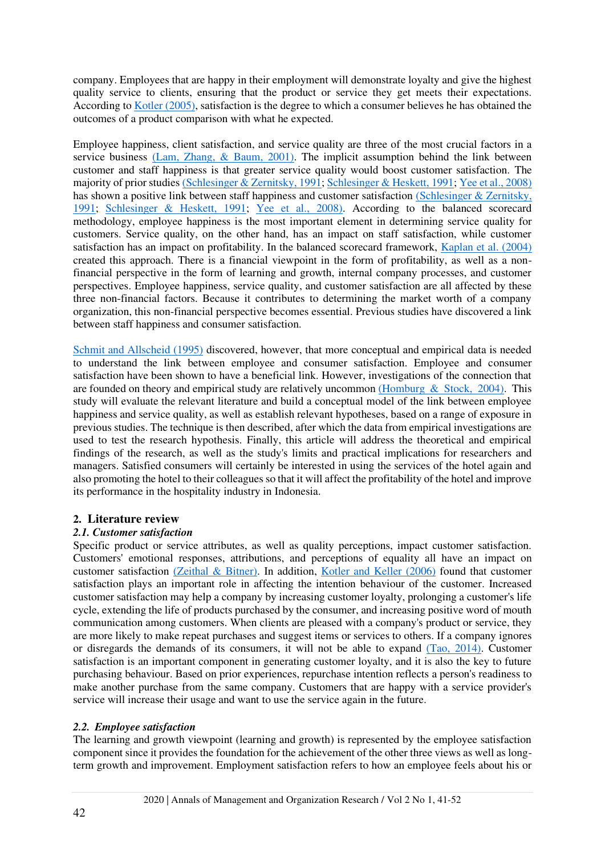company. Employees that are happy in their employment will demonstrate loyalty and give the highest quality service to clients, ensuring that the product or service they get meets their expectations. According to [Kotler \(2005\),](#page-10-0) satisfaction is the degree to which a consumer believes he has obtained the outcomes of a product comparison with what he expected.

Employee happiness, client satisfaction, and service quality are three of the most crucial factors in a service business [\(Lam, Zhang, & Baum, 2001\).](#page-10-1) The implicit assumption behind the link between customer and staff happiness is that greater service quality would boost customer satisfaction. The majority of prior studie[s \(Schlesinger & Zernitsky, 1991;](#page-10-2) [Schlesinger & Heskett, 1991;](#page-10-3) [Yee et al., 2008\)](#page-11-0) has shown a positive link between staff happiness and customer satisfaction [\(Schlesinger & Zernitsky,](#page-10-2)  [1991;](#page-10-2) [Schlesinger & Heskett, 1991;](#page-10-3) [Yee et al., 2008\).](#page-11-0) According to the balanced scorecard methodology, employee happiness is the most important element in determining service quality for customers. Service quality, on the other hand, has an impact on staff satisfaction, while customer satisfaction has an impact on profitability. In the balanced scorecard framework, [Kaplan et al. \(2004\)](#page-10-4) created this approach. There is a financial viewpoint in the form of profitability, as well as a nonfinancial perspective in the form of learning and growth, internal company processes, and customer perspectives. Employee happiness, service quality, and customer satisfaction are all affected by these three non-financial factors. Because it contributes to determining the market worth of a company organization, this non-financial perspective becomes essential. Previous studies have discovered a link between staff happiness and consumer satisfaction.

[Schmit and Allscheid \(1995\)](#page-10-5) discovered, however, that more conceptual and empirical data is needed to understand the link between employee and consumer satisfaction. Employee and consumer satisfaction have been shown to have a beneficial link. However, investigations of the connection that are founded on theory and empirical study are relatively uncommon [\(Homburg & Stock, 2004\).](#page-10-6) This study will evaluate the relevant literature and build a conceptual model of the link between employee happiness and service quality, as well as establish relevant hypotheses, based on a range of exposure in previous studies. The technique is then described, after which the data from empirical investigations are used to test the research hypothesis. Finally, this article will address the theoretical and empirical findings of the research, as well as the study's limits and practical implications for researchers and managers. Satisfied consumers will certainly be interested in using the services of the hotel again and also promoting the hotel to their colleagues so that it will affect the profitability of the hotel and improve its performance in the hospitality industry in Indonesia.

# **2. Literature review**

# *2.1. Customer satisfaction*

Specific product or service attributes, as well as quality perceptions, impact customer satisfaction. Customers' emotional responses, attributions, and perceptions of equality all have an impact on customer satisfaction [\(Zeithal & Bitner\).](#page-11-1) In addition, [Kotler and Keller \(2006\)](#page-10-7) found that customer satisfaction plays an important role in affecting the intention behaviour of the customer. Increased customer satisfaction may help a company by increasing customer loyalty, prolonging a customer's life cycle, extending the life of products purchased by the consumer, and increasing positive word of mouth communication among customers. When clients are pleased with a company's product or service, they are more likely to make repeat purchases and suggest items or services to others. If a company ignores or disregards the demands of its consumers, it will not be able to expand [\(Tao, 2014\).](#page-10-8) Customer satisfaction is an important component in generating customer loyalty, and it is also the key to future purchasing behaviour. Based on prior experiences, repurchase intention reflects a person's readiness to make another purchase from the same company. Customers that are happy with a service provider's service will increase their usage and want to use the service again in the future.

# *2.2. Employee satisfaction*

The learning and growth viewpoint (learning and growth) is represented by the employee satisfaction component since it provides the foundation for the achievement of the other three views as well as longterm growth and improvement. Employment satisfaction refers to how an employee feels about his or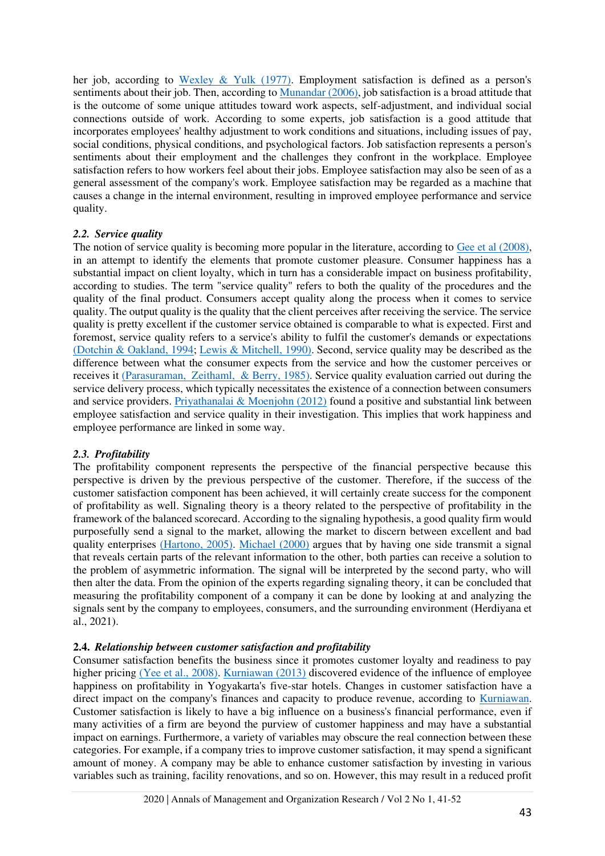her job, according to [Wexley & Yulk \(1977\).](#page-11-2) Employment satisfaction is defined as a person's sentiments about their job. Then, according to [Munandar \(2006\),](#page-10-9) job satisfaction is a broad attitude that is the outcome of some unique attitudes toward work aspects, self-adjustment, and individual social connections outside of work. According to some experts, job satisfaction is a good attitude that incorporates employees' healthy adjustment to work conditions and situations, including issues of pay, social conditions, physical conditions, and psychological factors. Job satisfaction represents a person's sentiments about their employment and the challenges they confront in the workplace. Employee satisfaction refers to how workers feel about their jobs. Employee satisfaction may also be seen of as a general assessment of the company's work. Employee satisfaction may be regarded as a machine that causes a change in the internal environment, resulting in improved employee performance and service quality.

# *2.2. Service quality*

The notion of service quality is becoming more popular in the literature, according to [Gee et al \(2008\),](#page-9-1) in an attempt to identify the elements that promote customer pleasure. Consumer happiness has a substantial impact on client loyalty, which in turn has a considerable impact on business profitability, according to studies. The term "service quality" refers to both the quality of the procedures and the quality of the final product. Consumers accept quality along the process when it comes to service quality. The output quality is the quality that the client perceives after receiving the service. The service quality is pretty excellent if the customer service obtained is comparable to what is expected. First and foremost, service quality refers to a service's ability to fulfil the customer's demands or expectations [\(Dotchin & Oakland, 1994;](#page-9-2) [Lewis & Mitchell, 1990\).](#page-10-10) Second, service quality may be described as the difference between what the consumer expects from the service and how the customer perceives or receives it [\(Parasuraman, Zeithaml, & Berry, 1985\).](#page-11-1) Service quality evaluation carried out during the service delivery process, which typically necessitates the existence of a connection between consumers and service providers. [Priyathanalai & Moenjohn \(2012\)](#page-10-11) found a positive and substantial link between employee satisfaction and service quality in their investigation. This implies that work happiness and employee performance are linked in some way.

# *2.3. Profitability*

The profitability component represents the perspective of the financial perspective because this perspective is driven by the previous perspective of the customer. Therefore, if the success of the customer satisfaction component has been achieved, it will certainly create success for the component of profitability as well. Signaling theory is a theory related to the perspective of profitability in the framework of the balanced scorecard. According to the signaling hypothesis, a good quality firm would purposefully send a signal to the market, allowing the market to discern between excellent and bad quality enterprises [\(Hartono, 2005\).](#page-9-3) [Michael \(2000\)](#page-10-12) argues that by having one side transmit a signal that reveals certain parts of the relevant information to the other, both parties can receive a solution to the problem of asymmetric information. The signal will be interpreted by the second party, who will then alter the data. From the opinion of the experts regarding signaling theory, it can be concluded that measuring the profitability component of a company it can be done by looking at and analyzing the signals sent by the company to employees, consumers, and the surrounding environment (Herdiyana et al., 2021).

## **2.4.** *Relationship between customer satisfaction and profitability*

Consumer satisfaction benefits the business since it promotes customer loyalty and readiness to pay higher pricing [\(Yee et al., 2008\).](#page-11-0) [Kurniawan \(2013\)](#page-10-13) discovered evidence of the influence of employee happiness on profitability in Yogyakarta's five-star hotels. Changes in customer satisfaction have a direct impact on the company's finances and capacity to produce revenue, according to [Kurniawan.](#page-10-13) Customer satisfaction is likely to have a big influence on a business's financial performance, even if many activities of a firm are beyond the purview of customer happiness and may have a substantial impact on earnings. Furthermore, a variety of variables may obscure the real connection between these categories. For example, if a company tries to improve customer satisfaction, it may spend a significant amount of money. A company may be able to enhance customer satisfaction by investing in various variables such as training, facility renovations, and so on. However, this may result in a reduced profit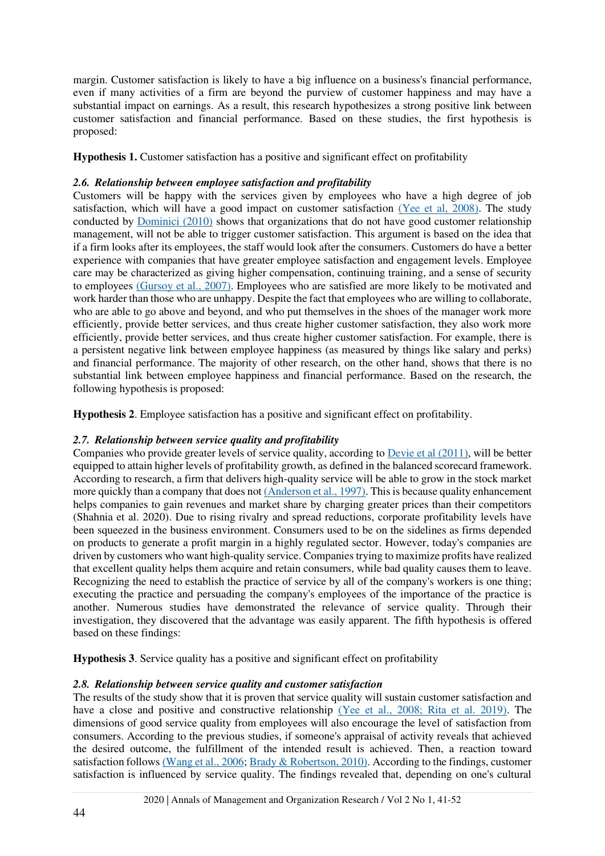margin. Customer satisfaction is likely to have a big influence on a business's financial performance, even if many activities of a firm are beyond the purview of customer happiness and may have a substantial impact on earnings. As a result, this research hypothesizes a strong positive link between customer satisfaction and financial performance. Based on these studies, the first hypothesis is proposed:

**Hypothesis 1.** Customer satisfaction has a positive and significant effect on profitability

## *2.6. Relationship between employee satisfaction and profitability*

Customers will be happy with the services given by employees who have a high degree of job satisfaction, which will have a good impact on customer satisfaction [\(Yee et al, 2008\).](#page-11-0) The study conducted by [Dominici \(2010\)](#page-9-4) shows that organizations that do not have good customer relationship management, will not be able to trigger customer satisfaction. This argument is based on the idea that if a firm looks after its employees, the staff would look after the consumers. Customers do have a better experience with companies that have greater employee satisfaction and engagement levels. Employee care may be characterized as giving higher compensation, continuing training, and a sense of security to employees [\(Gursoy et al., 2007\).](#page-9-5) Employees who are satisfied are more likely to be motivated and work harder than those who are unhappy. Despite the fact that employees who are willing to collaborate, who are able to go above and beyond, and who put themselves in the shoes of the manager work more efficiently, provide better services, and thus create higher customer satisfaction, they also work more efficiently, provide better services, and thus create higher customer satisfaction. For example, there is a persistent negative link between employee happiness (as measured by things like salary and perks) and financial performance. The majority of other research, on the other hand, shows that there is no substantial link between employee happiness and financial performance. Based on the research, the following hypothesis is proposed:

**Hypothesis 2**. Employee satisfaction has a positive and significant effect on profitability.

# *2.7. Relationship between service quality and profitability*

Companies who provide greater levels of service quality, according to [Devie et al \(2011\),](#page-9-6) will be better equipped to attain higher levels of profitability growth, as defined in the balanced scorecard framework. According to research, a firm that delivers high-quality service will be able to grow in the stock market more quickly than a company that does no[t \(Anderson et al., 1997\).](#page-9-7) This is because quality enhancement helps companies to gain revenues and market share by charging greater prices than their competitors (Shahnia et al. 2020). Due to rising rivalry and spread reductions, corporate profitability levels have been squeezed in the business environment. Consumers used to be on the sidelines as firms depended on products to generate a profit margin in a highly regulated sector. However, today's companies are driven by customers who want high-quality service. Companies trying to maximize profits have realized that excellent quality helps them acquire and retain consumers, while bad quality causes them to leave. Recognizing the need to establish the practice of service by all of the company's workers is one thing; executing the practice and persuading the company's employees of the importance of the practice is another. Numerous studies have demonstrated the relevance of service quality. Through their investigation, they discovered that the advantage was easily apparent. The fifth hypothesis is offered based on these findings:

**Hypothesis 3**. Service quality has a positive and significant effect on profitability

# *2.8. Relationship between service quality and customer satisfaction*

The results of the study show that it is proven that service quality will sustain customer satisfaction and have a close and positive and constructive relationship [\(Yee et al., 2008; Rita et al. 2019\).](#page-11-0) The dimensions of good service quality from employees will also encourage the level of satisfaction from consumers. According to the previous studies, if someone's appraisal of activity reveals that achieved the desired outcome, the fulfillment of the intended result is achieved. Then, a reaction toward satisfaction follow[s \(Wang et al., 2006;](#page-10-14) [Brady & Robertson, 2010\).](#page-9-8) According to the findings, customer satisfaction is influenced by service quality. The findings revealed that, depending on one's cultural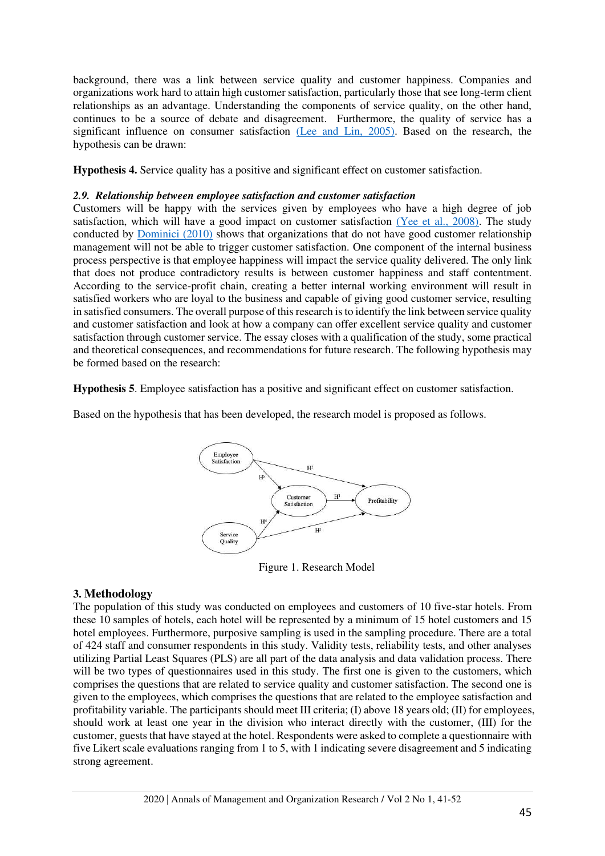background, there was a link between service quality and customer happiness. Companies and organizations work hard to attain high customer satisfaction, particularly those that see long-term client relationships as an advantage. Understanding the components of service quality, on the other hand, continues to be a source of debate and disagreement. Furthermore, the quality of service has a significant influence on consumer satisfaction [\(Lee and Lin, 2005\).](#page-10-15) Based on the research, the hypothesis can be drawn:

**Hypothesis 4.** Service quality has a positive and significant effect on customer satisfaction.

#### *2.9. Relationship between employee satisfaction and customer satisfaction*

Customers will be happy with the services given by employees who have a high degree of job satisfaction, which will have a good impact on customer satisfaction [\(Yee et al., 2008\).](#page-11-0) The study conducted by [Dominici \(2010\)](#page-9-4) shows that organizations that do not have good customer relationship management will not be able to trigger customer satisfaction. One component of the internal business process perspective is that employee happiness will impact the service quality delivered. The only link that does not produce contradictory results is between customer happiness and staff contentment. According to the service-profit chain, creating a better internal working environment will result in satisfied workers who are loyal to the business and capable of giving good customer service, resulting in satisfied consumers. The overall purpose of this research is to identify the link between service quality and customer satisfaction and look at how a company can offer excellent service quality and customer satisfaction through customer service. The essay closes with a qualification of the study, some practical and theoretical consequences, and recommendations for future research. The following hypothesis may be formed based on the research:

**Hypothesis 5**. Employee satisfaction has a positive and significant effect on customer satisfaction.

Based on the hypothesis that has been developed, the research model is proposed as follows.



Figure 1. Research Model

## **3. Methodology**

The population of this study was conducted on employees and customers of 10 five-star hotels. From these 10 samples of hotels, each hotel will be represented by a minimum of 15 hotel customers and 15 hotel employees. Furthermore, purposive sampling is used in the sampling procedure. There are a total of 424 staff and consumer respondents in this study. Validity tests, reliability tests, and other analyses utilizing Partial Least Squares (PLS) are all part of the data analysis and data validation process. There will be two types of questionnaires used in this study. The first one is given to the customers, which comprises the questions that are related to service quality and customer satisfaction. The second one is given to the employees, which comprises the questions that are related to the employee satisfaction and profitability variable. The participants should meet III criteria; (I) above 18 years old; (II) for employees, should work at least one year in the division who interact directly with the customer, (III) for the customer, guests that have stayed at the hotel. Respondents were asked to complete a questionnaire with five Likert scale evaluations ranging from 1 to 5, with 1 indicating severe disagreement and 5 indicating strong agreement.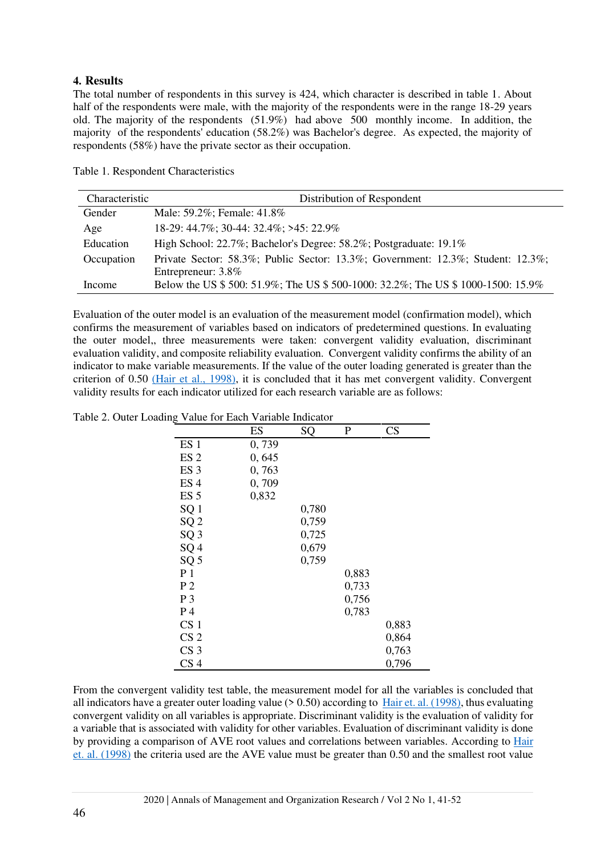# **4. Results**

The total number of respondents in this survey is 424, which character is described in table 1. About half of the respondents were male, with the majority of the respondents were in the range 18-29 years old. The majority of the respondents (51.9%) had above 500 monthly income. In addition, the majority of the respondents' education (58.2%) was Bachelor's degree. As expected, the majority of respondents (58%) have the private sector as their occupation.

| Characteristic | Distribution of Respondent                                                                            |
|----------------|-------------------------------------------------------------------------------------------------------|
| Gender         | Male: 59.2%; Female: 41.8%                                                                            |
| Age            | 18-29: 44.7%; 30-44: 32.4%; >45: 22.9%                                                                |
| Education      | High School: 22.7%; Bachelor's Degree: 58.2%; Postgraduate: 19.1%                                     |
| Occupation     | Private Sector: 58.3%; Public Sector: 13.3%; Government: 12.3%; Student: 12.3%;<br>Entrepreneur: 3.8% |
| Income         | Below the US \$500: 51.9%; The US \$500-1000: 32.2%; The US \$1000-1500: 15.9%                        |

Table 1. Respondent Characteristics

Evaluation of the outer model is an evaluation of the measurement model (confirmation model), which confirms the measurement of variables based on indicators of predetermined questions. In evaluating the outer model,, three measurements were taken: convergent validity evaluation, discriminant evaluation validity, and composite reliability evaluation. Convergent validity confirms the ability of an indicator to make variable measurements. If the value of the outer loading generated is greater than the criterion of 0.50 [\(Hair et al., 1998\),](#page-9-9) it is concluded that it has met convergent validity. Convergent validity results for each indicator utilized for each research variable are as follows:

|                 | ES    | SQ    | P     | CS    |
|-----------------|-------|-------|-------|-------|
| ES <sub>1</sub> | 0,739 |       |       |       |
| ES <sub>2</sub> | 0,645 |       |       |       |
| ES <sub>3</sub> | 0,763 |       |       |       |
| ES <sub>4</sub> | 0,709 |       |       |       |
| ES <sub>5</sub> | 0,832 |       |       |       |
| SQ <sub>1</sub> |       | 0,780 |       |       |
| SQ <sub>2</sub> |       | 0,759 |       |       |
| SQ <sub>3</sub> |       | 0,725 |       |       |
| SQ <sub>4</sub> |       | 0,679 |       |       |
| SQ <sub>5</sub> |       | 0,759 |       |       |
| P 1             |       |       | 0,883 |       |
| P <sub>2</sub>  |       |       | 0,733 |       |
| $P_3$           |       |       | 0,756 |       |
| P 4             |       |       | 0,783 |       |
| CS <sub>1</sub> |       |       |       | 0,883 |
| CS 2            |       |       |       | 0,864 |
| CS <sub>3</sub> |       |       |       | 0,763 |
| CS 4            |       |       |       | 0,796 |

Table 2. Outer Loading Value for Each Variable Indicator

From the convergent validity test table, the measurement model for all the variables is concluded that all indicators have a greater outer loading value  $(> 0.50)$  according to [Hair et. al. \(1998\),](#page-9-9) thus evaluating convergent validity on all variables is appropriate. Discriminant validity is the evaluation of validity for a variable that is associated with validity for other variables. Evaluation of discriminant validity is done by providing a comparison of AVE root values and correlations between variables. According to [Hair](#page-9-9)  [et. al. \(1998\)](#page-9-9) the criteria used are the AVE value must be greater than 0.50 and the smallest root value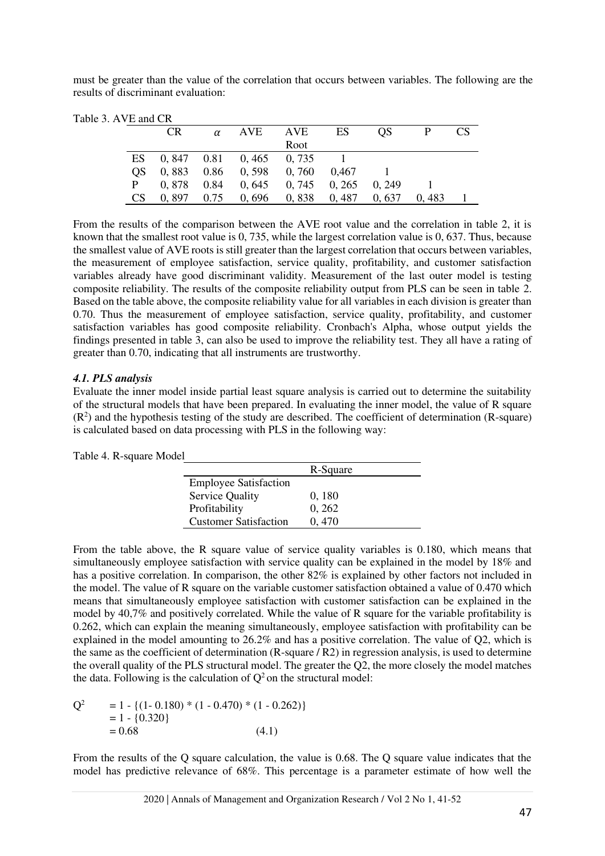must be greater than the value of the correlation that occurs between variables. The following are the results of discriminant evaluation:

|     | CR.                    | α | AVE                    | AVE                     | ES    | OS.    |       | <b>CS</b> |
|-----|------------------------|---|------------------------|-------------------------|-------|--------|-------|-----------|
|     |                        |   |                        | Root                    |       |        |       |           |
| ES  | $0,847$ $0.81$ $0,465$ |   |                        | 0.735                   |       |        |       |           |
| OS. |                        |   | $0,883$ $0.86$ $0,598$ | 0, 760                  | 0.467 |        |       |           |
| P   | $0,878$ 0.84           |   |                        | $0,645$ $0,745$         | 0.265 | 0. 249 |       |           |
| CS  | $0,897$ 0.75           |   |                        | $0,696$ $0,838$ $0,487$ |       | 0.637  | 0.483 |           |

From the results of the comparison between the AVE root value and the correlation in table 2, it is known that the smallest root value is 0, 735, while the largest correlation value is 0, 637. Thus, because the smallest value of AVE roots is still greater than the largest correlation that occurs between variables, the measurement of employee satisfaction, service quality, profitability, and customer satisfaction variables already have good discriminant validity. Measurement of the last outer model is testing composite reliability. The results of the composite reliability output from PLS can be seen in table 2. Based on the table above, the composite reliability value for all variables in each division is greater than 0.70. Thus the measurement of employee satisfaction, service quality, profitability, and customer satisfaction variables has good composite reliability. Cronbach's Alpha, whose output yields the findings presented in table 3, can also be used to improve the reliability test. They all have a rating of greater than 0.70, indicating that all instruments are trustworthy.

#### *4.1. PLS analysis*

Evaluate the inner model inside partial least square analysis is carried out to determine the suitability of the structural models that have been prepared. In evaluating the inner model, the value of R square  $(R<sup>2</sup>)$  and the hypothesis testing of the study are described. The coefficient of determination (R-square) is calculated based on data processing with PLS in the following way:

| Table 4. R-square Model |                              |          |
|-------------------------|------------------------------|----------|
|                         |                              | R-Square |
|                         | <b>Employee Satisfaction</b> |          |
|                         | <b>Service Quality</b>       | 0, 180   |
|                         | Profitability                | 0, 262   |
|                         | <b>Customer Satisfaction</b> | 0.470    |

From the table above, the R square value of service quality variables is 0.180, which means that simultaneously employee satisfaction with service quality can be explained in the model by 18% and has a positive correlation. In comparison, the other 82% is explained by other factors not included in the model. The value of R square on the variable customer satisfaction obtained a value of 0.470 which means that simultaneously employee satisfaction with customer satisfaction can be explained in the model by 40,7% and positively correlated. While the value of R square for the variable profitability is 0.262, which can explain the meaning simultaneously, employee satisfaction with profitability can be explained in the model amounting to 26.2% and has a positive correlation. The value of Q2, which is the same as the coefficient of determination  $(R$ -square  $/R2$ ) in regression analysis, is used to determine the overall quality of the PLS structural model. The greater the Q2, the more closely the model matches the data. Following is the calculation of  $Q^2$  on the structural model:

$$
Q2 = 1 - {(1 - 0.180) * (1 - 0.470) * (1 - 0.262)}
$$
  
= 1 - {0.320}  
= 0.68 (4.1)

From the results of the Q square calculation, the value is 0.68. The Q square value indicates that the model has predictive relevance of 68%. This percentage is a parameter estimate of how well the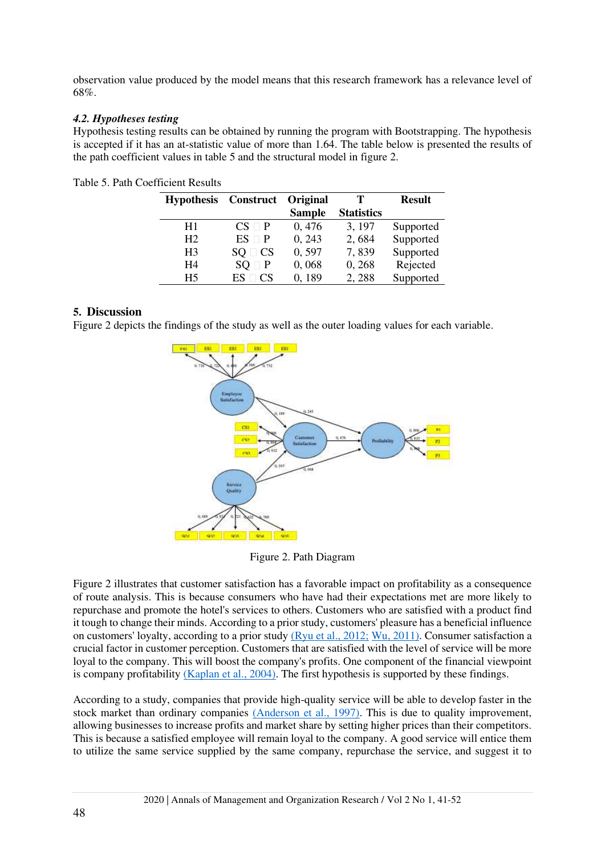observation value produced by the model means that this research framework has a relevance level of 68%.

## *4.2. Hypotheses testing*

Hypothesis testing results can be obtained by running the program with Bootstrapping. The hypothesis is accepted if it has an at-statistic value of more than 1.64. The table below is presented the results of the path coefficient values in table 5 and the structural model in figure 2.

| <b>Hypothesis</b> | Construct Original |               | т                 | <b>Result</b> |
|-------------------|--------------------|---------------|-------------------|---------------|
|                   |                    | <b>Sample</b> | <b>Statistics</b> |               |
| H1                | $CS \square P$     | 0,476         | 3, 197            | Supported     |
| H <sub>2</sub>    | $ES \square P$     | 0, 243        | 2,684             | Supported     |
| H <sub>3</sub>    | $SQ \square CS$    | 0,597         | 7,839             | Supported     |
| H4                | $SO \square P$     | 0,068         | 0,268             | Rejected      |
| H5                | $ES \square CS$    | 0,189         | 2,288             | Supported     |

Table 5. Path Coefficient Results

## **5. Discussion**

Figure 2 depicts the findings of the study as well as the outer loading values for each variable.



Figure 2. Path Diagram

Figure 2 illustrates that customer satisfaction has a favorable impact on profitability as a consequence of route analysis. This is because consumers who have had their expectations met are more likely to repurchase and promote the hotel's services to others. Customers who are satisfied with a product find it tough to change their minds. According to a prior study, customers' pleasure has a beneficial influence on customers' loyalty, according to a prior study [\(Ryu et al., 2012;](#page-10-16) [Wu, 2011\).](#page-11-3) Consumer satisfaction a crucial factor in customer perception. Customers that are satisfied with the level of service will be more loyal to the company. This will boost the company's profits. One component of the financial viewpoint is company profitability [\(Kaplan et al., 2004\).](#page-10-4) The first hypothesis is supported by these findings.

According to a study, companies that provide high-quality service will be able to develop faster in the stock market than ordinary companies [\(Anderson et al., 1997\).](#page-9-7) This is due to quality improvement, allowing businesses to increase profits and market share by setting higher prices than their competitors. This is because a satisfied employee will remain loyal to the company. A good service will entice them to utilize the same service supplied by the same company, repurchase the service, and suggest it to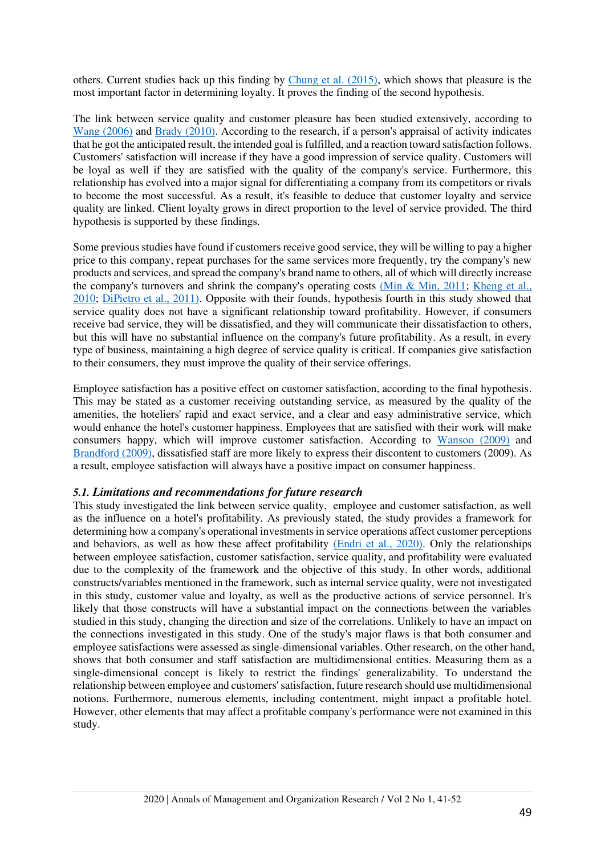others. Current studies back up this finding by [Chung et al. \(2015\),](#page-9-10) which shows that pleasure is the most important factor in determining loyalty. It proves the finding of the second hypothesis.

The link between service quality and customer pleasure has been studied extensively, according to [Wang \(2006\)](#page-10-14) and [Brady \(2010\).](#page-9-8) According to the research, if a person's appraisal of activity indicates that he got the anticipated result, the intended goal is fulfilled, and a reaction toward satisfaction follows. Customers' satisfaction will increase if they have a good impression of service quality. Customers will be loyal as well if they are satisfied with the quality of the company's service. Furthermore, this relationship has evolved into a major signal for differentiating a company from its competitors or rivals to become the most successful. As a result, it's feasible to deduce that customer loyalty and service quality are linked. Client loyalty grows in direct proportion to the level of service provided. The third hypothesis is supported by these findings.

Some previous studies have found if customers receive good service, they will be willing to pay a higher price to this company, repeat purchases for the same services more frequently, try the company's new products and services, and spread the company's brand name to others, all of which will directly increase the company's turnovers and shrink the company's operating costs (Min  $\&$  Min, 2011; Kheng et al., [2010;](#page-10-18) [DiPietro et al., 2011\).](#page-9-11) Opposite with their founds, hypothesis fourth in this study showed that service quality does not have a significant relationship toward profitability. However, if consumers receive bad service, they will be dissatisfied, and they will communicate their dissatisfaction to others, but this will have no substantial influence on the company's future profitability. As a result, in every type of business, maintaining a high degree of service quality is critical. If companies give satisfaction to their consumers, they must improve the quality of their service offerings.

Employee satisfaction has a positive effect on customer satisfaction, according to the final hypothesis. This may be stated as a customer receiving outstanding service, as measured by the quality of the amenities, the hoteliers' rapid and exact service, and a clear and easy administrative service, which would enhance the hotel's customer happiness. Employees that are satisfied with their work will make consumers happy, which will improve customer satisfaction. According to [Wansoo \(2009\)](#page-11-4) and [Brandford \(2009\),](#page-10-19) dissatisfied staff are more likely to express their discontent to customers (2009). As a result, employee satisfaction will always have a positive impact on consumer happiness.

## *5.1. Limitations and recommendations for future research*

This study investigated the link between service quality, employee and customer satisfaction, as well as the influence on a hotel's profitability. As previously stated, the study provides a framework for determining how a company's operational investments in service operations affect customer perceptions and behaviors, as well as how these affect profitability [\(Endri et al., 2020\).](#page-9-12) Only the relationships between employee satisfaction, customer satisfaction, service quality, and profitability were evaluated due to the complexity of the framework and the objective of this study. In other words, additional constructs/variables mentioned in the framework, such as internal service quality, were not investigated in this study, customer value and loyalty, as well as the productive actions of service personnel. It's likely that those constructs will have a substantial impact on the connections between the variables studied in this study, changing the direction and size of the correlations. Unlikely to have an impact on the connections investigated in this study. One of the study's major flaws is that both consumer and employee satisfactions were assessed as single-dimensional variables. Other research, on the other hand, shows that both consumer and staff satisfaction are multidimensional entities. Measuring them as a single-dimensional concept is likely to restrict the findings' generalizability. To understand the relationship between employee and customers' satisfaction, future research should use multidimensional notions. Furthermore, numerous elements, including contentment, might impact a profitable hotel. However, other elements that may affect a profitable company's performance were not examined in this study.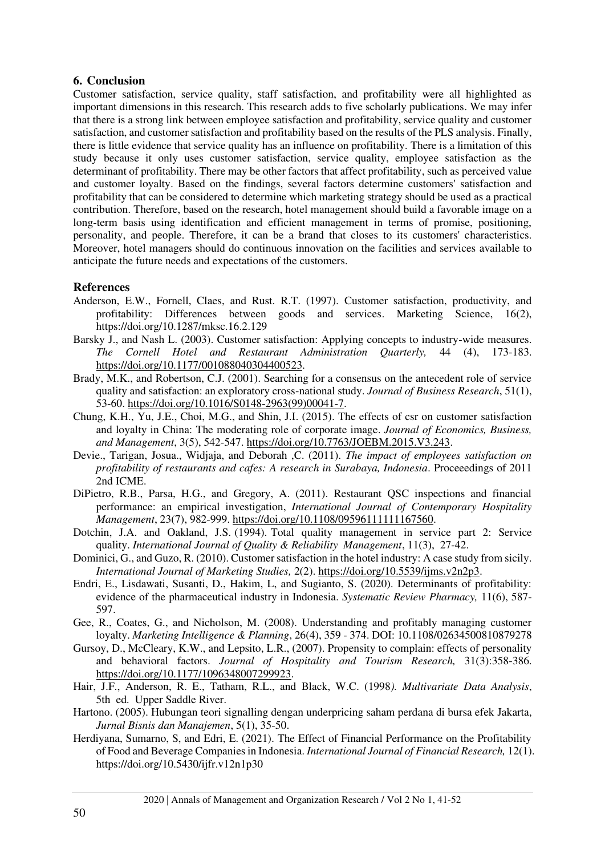## **6. Conclusion**

Customer satisfaction, service quality, staff satisfaction, and profitability were all highlighted as important dimensions in this research. This research adds to five scholarly publications. We may infer that there is a strong link between employee satisfaction and profitability, service quality and customer satisfaction, and customer satisfaction and profitability based on the results of the PLS analysis. Finally, there is little evidence that service quality has an influence on profitability. There is a limitation of this study because it only uses customer satisfaction, service quality, employee satisfaction as the determinant of profitability. There may be other factors that affect profitability, such as perceived value and customer loyalty. Based on the findings, several factors determine customers' satisfaction and profitability that can be considered to determine which marketing strategy should be used as a practical contribution. Therefore, based on the research, hotel management should build a favorable image on a long-term basis using identification and efficient management in terms of promise, positioning, personality, and people. Therefore, it can be a brand that closes to its customers' characteristics. Moreover, hotel managers should do continuous innovation on the facilities and services available to anticipate the future needs and expectations of the customers.

## **References**

- <span id="page-9-7"></span>Anderson, E.W., Fornell, Claes, and Rust. R.T. (1997). Customer satisfaction, productivity, and profitability: Differences between goods and services. Marketing Science, 16(2), <https://doi.org/10.1287/mksc.16.2.129>
- <span id="page-9-0"></span>Barsky J., and Nash L. (2003). Customer satisfaction: Applying concepts to industry-wide measures. *The Cornell Hotel and Restaurant Administration Quarterly,* 44 (4), 173-183. [https://doi.org/10.1177/001088040304400523.](https://doi.org/10.1177/001088040304400523)
- <span id="page-9-8"></span>Brady, M.K., and Robertson, C.J. (2001). Searching for a consensus on the antecedent role of service quality and satisfaction: an exploratory cross-national study. *Journal of Business Research*, 51(1), 53-60[. https://doi.org/10.1016/S0148-2963\(99\)00041-7.](https://doi.org/10.1016/S0148-2963(99)00041-7)
- <span id="page-9-10"></span>Chung, K.H., Yu, J.E., Choi, M.G., and Shin, J.I. (2015). The effects of csr on customer satisfaction and loyalty in China: The moderating role of corporate image. *Journal of Economics, Business, and Management*, 3(5), 542-547[. https://doi.org/10.7763/JOEBM.2015.V3.243.](https://doi.org/10.7763/JOEBM.2015.V3.243)
- <span id="page-9-6"></span>Devie., Tarigan, Josua., Widjaja, and Deborah ,C. (2011). *The impact of employees satisfaction on profitability of restaurants and cafes: A research in Surabaya, Indonesia*. Proceeedings of 2011 2nd ICME.
- <span id="page-9-11"></span>DiPietro, R.B., Parsa, H.G., and Gregory, A. (2011). Restaurant QSC inspections and financial performance: an empirical investigation, *International Journal of Contemporary Hospitality Management*, 23(7), 982-999. [https://doi.org/10.1108/09596111111167560.](https://doi.org/10.1108/09596111111167560)
- <span id="page-9-2"></span>Dotchin, J.A. and Oakland, J.S. (1994). Total quality management in service part 2: Service quality. *International Journal of Quality & Reliability Management*, 11(3), 27-42.
- <span id="page-9-4"></span>Dominici, G., and Guzo, R. (2010). Customer satisfaction in the hotel industry: A case study from sicily. *International Journal of Marketing Studies,* 2(2). [https://doi.org/10.5539/ijms.v2n2p3.](https://doi.org/10.5539/ijms.v2n2p3)
- <span id="page-9-12"></span>Endri, E., Lisdawati, Susanti, D., Hakim, L, and Sugianto, S. (2020). Determinants of profitability: evidence of the pharmaceutical industry in Indonesia. *Systematic Review Pharmacy,* 11(6), 587- 597.
- <span id="page-9-1"></span>Gee, R., Coates, G., and Nicholson, M. (2008). Understanding and profitably managing customer loyalty. *Marketing Intelligence & Planning*, 26(4), 359 - 374. DOI: 10.1108/02634500810879278
- <span id="page-9-5"></span>Gursoy, D., McCleary, K.W., and Lepsito, L.R., (2007). Propensity to complain: effects of personality and behavioral factors. *Journal of Hospitality and Tourism Research,* 31(3):358-386. [https://doi.org/10.1177/1096348007299923.](https://doi.org/10.1177/1096348007299923)
- <span id="page-9-9"></span>Hair, J.F., Anderson, R. E., Tatham, R.L., and Black, W.C. (1998*). Multivariate Data Analysis*, 5th ed. Upper Saddle River.
- <span id="page-9-3"></span>Hartono. (2005). Hubungan teori signalling dengan underpricing saham perdana di bursa efek Jakarta, *Jurnal Bisnis dan Manajemen*, 5(1), 35-50.
- Herdiyana, Sumarno, S, and Edri, E. (2021). The Effect of Financial Performance on the Profitability of Food and Beverage Companies in Indonesia. *International Journal of Financial Research,* 12(1). https://doi.org/10.5430/ijfr.v12n1p30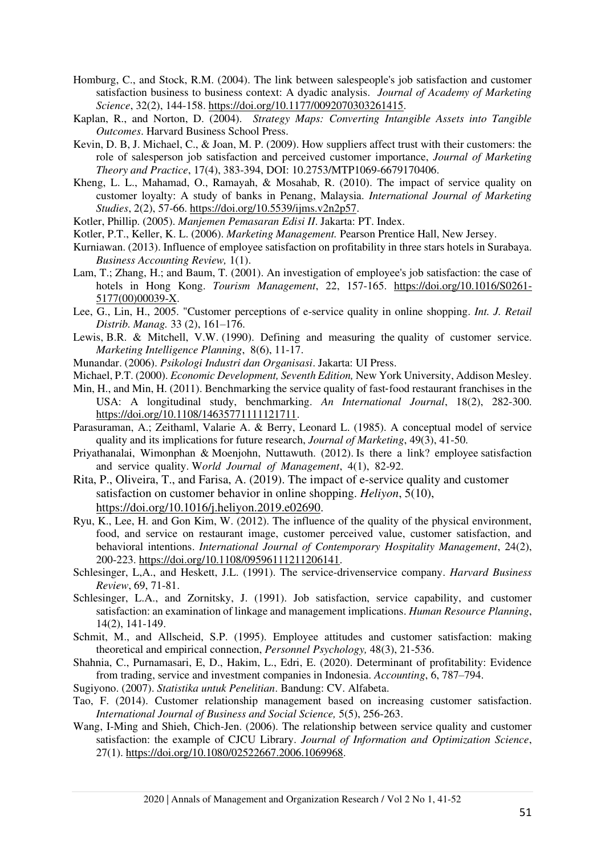- <span id="page-10-6"></span>Homburg, C., and Stock, R.M. (2004). The link between salespeople's job satisfaction and customer satisfaction business to business context: A dyadic analysis. *Journal of Academy of Marketing Science*, 32(2), 144-158. [https://doi.org/10.1177/0092070303261415.](https://doi.org/10.1177/0092070303261415)
- <span id="page-10-4"></span>Kaplan, R., and Norton, D. (2004). *Strategy Maps: Converting Intangible Assets into Tangible Outcomes*. Harvard Business School Press.
- <span id="page-10-19"></span>Kevin, D. B, J. Michael, C., & Joan, M. P. (2009). How suppliers affect trust with their customers: the role of salesperson job satisfaction and perceived customer importance, *Journal of Marketing Theory and Practice*, 17(4), 383-394, DOI: 10.2753/MTP1069-6679170406.
- <span id="page-10-18"></span>Kheng, L. L., Mahamad, O., Ramayah, & Mosahab, R. (2010). The impact of service quality on customer loyalty: A study of banks in Penang, Malaysia. *International Journal of Marketing Studies*, 2(2), 57-66. [https://doi.org/10.5539/ijms.v2n2p57.](https://doi.org/10.5539/ijms.v2n2p57)
- <span id="page-10-0"></span>Kotler, Phillip. (2005). *Manjemen Pemasaran Edisi II*. Jakarta: PT. Index.
- <span id="page-10-7"></span>Kotler, P.T., Keller, K. L. (2006). *Marketing Management.* Pearson Prentice Hall, New Jersey.
- <span id="page-10-13"></span>Kurniawan. (2013). Influence of employee satisfaction on profitability in three stars hotels in Surabaya. *Business Accounting Review,* 1(1).
- <span id="page-10-1"></span>Lam, T.; Zhang, H.; and Baum, T. (2001). An investigation of employee's job satisfaction: the case of hotels in Hong Kong. *Tourism Management*, 22, 157-165. [https://doi.org/10.1016/S0261-](https://doi.org/10.1016/S0261-5177(00)00039-X) [5177\(00\)00039-X.](https://doi.org/10.1016/S0261-5177(00)00039-X)
- <span id="page-10-15"></span>Lee, G., Lin, H., 2005. "Customer perceptions of e-service quality in online shopping. *Int. J. Retail Distrib. Manag.* 33 (2), 161–176.
- <span id="page-10-10"></span>Lewis, B.R. & Mitchell, V.W. (1990). Defining and measuring the quality of customer service. *Marketing Intelligence Planning*, 8(6), 11-17.
- <span id="page-10-9"></span>Munandar. (2006). *Psikologi Industri dan Organisasi*. Jakarta: UI Press.
- <span id="page-10-12"></span>Michael, P.T. (2000). *Economic Development, Seventh Edition,* New York University, Addison Mesley.
- <span id="page-10-17"></span>Min, H., and Min, H. (2011). Benchmarking the service quality of fast-food restaurant franchises in the USA: A longitudinal study, benchmarking. *An International Journal*, 18(2), 282-300. [https://doi.org/10.1108/14635771111121711.](https://doi.org/10.1108/14635771111121711)
- Parasuraman, A.; Zeithaml, Valarie A. & Berry, Leonard L. (1985). A conceptual model of service quality and its implications for future research, *Journal of Marketing*, 49(3), 41-50.
- <span id="page-10-11"></span>Priyathanalai, Wimonphan & Moenjohn, Nuttawuth. (2012). Is there a link? employee satisfaction and service quality. W*orld Journal of Management*, 4(1), 82-92.
- Rita, P., Oliveira, T., and Farisa, A. (2019). The impact of e-service quality and customer satisfaction on customer behavior in online shopping. *Heliyon*, 5(10), [https://doi.org/10.1016/j.heliyon.2019.e02690.](https://doi.org/10.1016/j.heliyon.2019.e02690)
- <span id="page-10-16"></span>Ryu, K., Lee, H. and Gon Kim, W. (2012). The influence of the quality of the physical environment, food, and service on restaurant image, customer perceived value, customer satisfaction, and behavioral intentions. *International Journal of Contemporary Hospitality Management*, 24(2), 200-223[. https://doi.org/10.1108/09596111211206141.](https://doi.org/10.1108/09596111211206141)
- <span id="page-10-3"></span>Schlesinger, L,A., and Heskett, J.L. (1991). The service-drivenservice company. *Harvard Business Review*, 69, 71-81.
- <span id="page-10-2"></span>Schlesinger, L.A., and Zornitsky, J. (1991). Job satisfaction, service capability, and customer satisfaction: an examination of linkage and management implications. *Human Resource Planning*, 14(2), 141-149.
- <span id="page-10-5"></span>Schmit, M., and Allscheid, S.P. (1995). Employee attitudes and customer satisfaction: making theoretical and empirical connection, *Personnel Psychology,* 48(3), 21-536.
- Shahnia, C., Purnamasari, E, D., Hakim, L., Edri, E. (2020). Determinant of profitability: Evidence from trading, service and investment companies in Indonesia. *Accounting*, 6, 787–794.
- Sugiyono. (2007). *Statistika untuk Penelitian*. Bandung: CV. Alfabeta.
- <span id="page-10-8"></span>Tao, F. (2014). Customer relationship management based on increasing customer satisfaction. *International Journal of Business and Social Science,* 5(5), 256-263.
- <span id="page-10-14"></span>Wang, I-Ming and Shieh, Chich-Jen. (2006). The relationship between service quality and customer satisfaction: the example of CJCU Library. *Journal of Information and Optimization Science*, 27(1). [https://doi.org/10.1080/02522667.2006.1069968.](https://doi.org/10.1080/02522667.2006.1069968)